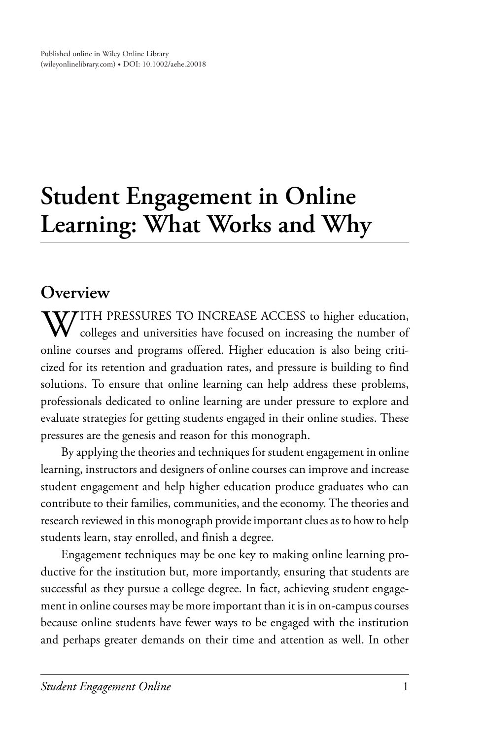# **Student Engagement in Online Learning: What Works and Why**

#### **Overview**

**7**ITH PRESSURES TO INCREASE ACCESS to higher education, colleges and universities have focused on increasing the number of online courses and programs offered. Higher education is also being criticized for its retention and graduation rates, and pressure is building to find solutions. To ensure that online learning can help address these problems, professionals dedicated to online learning are under pressure to explore and evaluate strategies for getting students engaged in their online studies. These pressures are the genesis and reason for this monograph.

By applying the theories and techniques for student engagement in online learning, instructors and designers of online courses can improve and increase student engagement and help higher education produce graduates who can contribute to their families, communities, and the economy. The theories and research reviewed in this monograph provide important clues as to how to help students learn, stay enrolled, and finish a degree.

Engagement techniques may be one key to making online learning productive for the institution but, more importantly, ensuring that students are successful as they pursue a college degree. In fact, achieving student engagement in online courses may be more important than it is in on-campus courses because online students have fewer ways to be engaged with the institution and perhaps greater demands on their time and attention as well. In other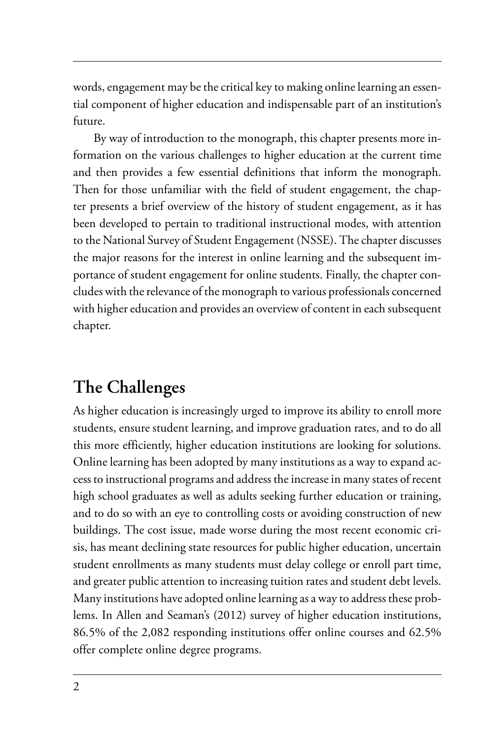words, engagement may be the critical key to making online learning an essential component of higher education and indispensable part of an institution's future.

By way of introduction to the monograph, this chapter presents more information on the various challenges to higher education at the current time and then provides a few essential definitions that inform the monograph. Then for those unfamiliar with the field of student engagement, the chapter presents a brief overview of the history of student engagement, as it has been developed to pertain to traditional instructional modes, with attention to the National Survey of Student Engagement (NSSE). The chapter discusses the major reasons for the interest in online learning and the subsequent importance of student engagement for online students. Finally, the chapter concludes with the relevance of the monograph to various professionals concerned with higher education and provides an overview of content in each subsequent chapter.

# **The Challenges**

As higher education is increasingly urged to improve its ability to enroll more students, ensure student learning, and improve graduation rates, and to do all this more efficiently, higher education institutions are looking for solutions. Online learning has been adopted by many institutions as a way to expand access to instructional programs and address the increase in many states of recent high school graduates as well as adults seeking further education or training, and to do so with an eye to controlling costs or avoiding construction of new buildings. The cost issue, made worse during the most recent economic crisis, has meant declining state resources for public higher education, uncertain student enrollments as many students must delay college or enroll part time, and greater public attention to increasing tuition rates and student debt levels. Many institutions have adopted online learning as a way to address these problems. In Allen and Seaman's (2012) survey of higher education institutions, 86.5% of the 2,082 responding institutions offer online courses and 62.5% offer complete online degree programs.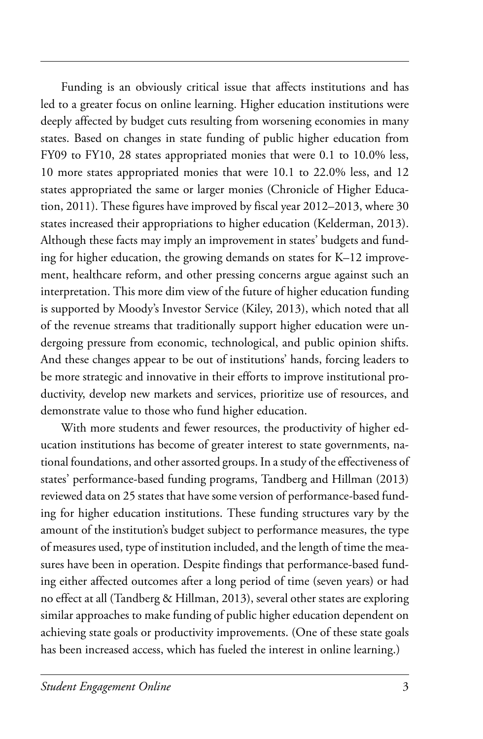Funding is an obviously critical issue that affects institutions and has led to a greater focus on online learning. Higher education institutions were deeply affected by budget cuts resulting from worsening economies in many states. Based on changes in state funding of public higher education from FY09 to FY10, 28 states appropriated monies that were 0.1 to 10.0% less, 10 more states appropriated monies that were 10.1 to 22.0% less, and 12 states appropriated the same or larger monies (Chronicle of Higher Education, 2011). These figures have improved by fiscal year 2012–2013, where 30 states increased their appropriations to higher education (Kelderman, 2013). Although these facts may imply an improvement in states' budgets and funding for higher education, the growing demands on states for K–12 improvement, healthcare reform, and other pressing concerns argue against such an interpretation. This more dim view of the future of higher education funding is supported by Moody's Investor Service (Kiley, 2013), which noted that all of the revenue streams that traditionally support higher education were undergoing pressure from economic, technological, and public opinion shifts. And these changes appear to be out of institutions' hands, forcing leaders to be more strategic and innovative in their efforts to improve institutional productivity, develop new markets and services, prioritize use of resources, and demonstrate value to those who fund higher education.

With more students and fewer resources, the productivity of higher education institutions has become of greater interest to state governments, national foundations, and other assorted groups. In a study of the effectiveness of states' performance-based funding programs, Tandberg and Hillman (2013) reviewed data on 25 states that have some version of performance-based funding for higher education institutions. These funding structures vary by the amount of the institution's budget subject to performance measures, the type of measures used, type of institution included, and the length of time the measures have been in operation. Despite findings that performance-based funding either affected outcomes after a long period of time (seven years) or had no effect at all (Tandberg & Hillman, 2013), several other states are exploring similar approaches to make funding of public higher education dependent on achieving state goals or productivity improvements. (One of these state goals has been increased access, which has fueled the interest in online learning.)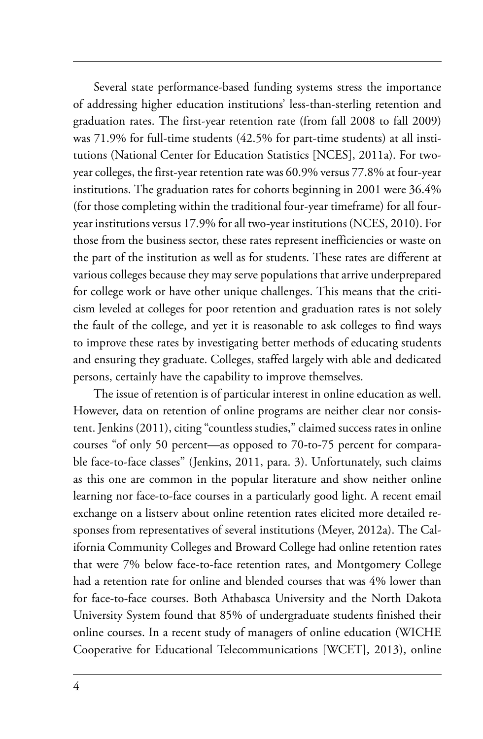Several state performance-based funding systems stress the importance of addressing higher education institutions' less-than-sterling retention and graduation rates. The first-year retention rate (from fall 2008 to fall 2009) was 71.9% for full-time students (42.5% for part-time students) at all institutions (National Center for Education Statistics [NCES], 2011a). For twoyear colleges, the first-year retention rate was 60.9% versus 77.8% at four-year institutions. The graduation rates for cohorts beginning in 2001 were 36.4% (for those completing within the traditional four-year timeframe) for all fouryear institutions versus 17.9% for all two-year institutions (NCES, 2010). For those from the business sector, these rates represent inefficiencies or waste on the part of the institution as well as for students. These rates are different at various colleges because they may serve populations that arrive underprepared for college work or have other unique challenges. This means that the criticism leveled at colleges for poor retention and graduation rates is not solely the fault of the college, and yet it is reasonable to ask colleges to find ways to improve these rates by investigating better methods of educating students and ensuring they graduate. Colleges, staffed largely with able and dedicated persons, certainly have the capability to improve themselves.

The issue of retention is of particular interest in online education as well. However, data on retention of online programs are neither clear nor consistent. Jenkins (2011), citing "countless studies," claimed success rates in online courses "of only 50 percent—as opposed to 70-to-75 percent for comparable face-to-face classes" (Jenkins, 2011, para. 3). Unfortunately, such claims as this one are common in the popular literature and show neither online learning nor face-to-face courses in a particularly good light. A recent email exchange on a listserv about online retention rates elicited more detailed responses from representatives of several institutions (Meyer, 2012a). The California Community Colleges and Broward College had online retention rates that were 7% below face-to-face retention rates, and Montgomery College had a retention rate for online and blended courses that was 4% lower than for face-to-face courses. Both Athabasca University and the North Dakota University System found that 85% of undergraduate students finished their online courses. In a recent study of managers of online education (WICHE Cooperative for Educational Telecommunications [WCET], 2013), online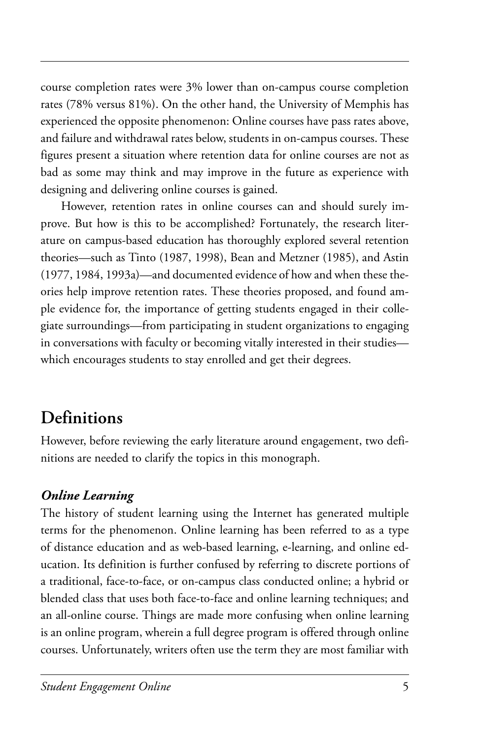course completion rates were 3% lower than on-campus course completion rates (78% versus 81%). On the other hand, the University of Memphis has experienced the opposite phenomenon: Online courses have pass rates above, and failure and withdrawal rates below, students in on-campus courses. These figures present a situation where retention data for online courses are not as bad as some may think and may improve in the future as experience with designing and delivering online courses is gained.

However, retention rates in online courses can and should surely improve. But how is this to be accomplished? Fortunately, the research literature on campus-based education has thoroughly explored several retention theories—such as Tinto (1987, 1998), Bean and Metzner (1985), and Astin (1977, 1984, 1993a)—and documented evidence of how and when these theories help improve retention rates. These theories proposed, and found ample evidence for, the importance of getting students engaged in their collegiate surroundings—from participating in student organizations to engaging in conversations with faculty or becoming vitally interested in their studies which encourages students to stay enrolled and get their degrees.

# **Definitions**

However, before reviewing the early literature around engagement, two definitions are needed to clarify the topics in this monograph.

#### *Online Learning*

The history of student learning using the Internet has generated multiple terms for the phenomenon. Online learning has been referred to as a type of distance education and as web-based learning, e-learning, and online education. Its definition is further confused by referring to discrete portions of a traditional, face-to-face, or on-campus class conducted online; a hybrid or blended class that uses both face-to-face and online learning techniques; and an all-online course. Things are made more confusing when online learning is an online program, wherein a full degree program is offered through online courses. Unfortunately, writers often use the term they are most familiar with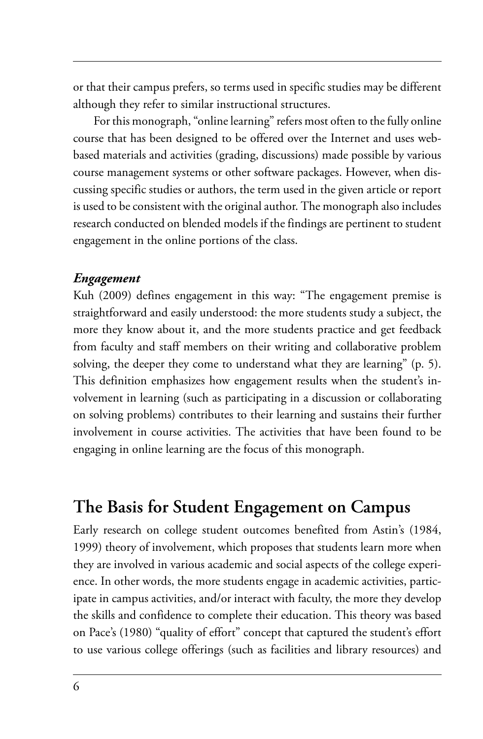or that their campus prefers, so terms used in specific studies may be different although they refer to similar instructional structures.

For this monograph, "online learning" refers most often to the fully online course that has been designed to be offered over the Internet and uses webbased materials and activities (grading, discussions) made possible by various course management systems or other software packages. However, when discussing specific studies or authors, the term used in the given article or report is used to be consistent with the original author. The monograph also includes research conducted on blended models if the findings are pertinent to student engagement in the online portions of the class.

#### *Engagement*

Kuh (2009) defines engagement in this way: "The engagement premise is straightforward and easily understood: the more students study a subject, the more they know about it, and the more students practice and get feedback from faculty and staff members on their writing and collaborative problem solving, the deeper they come to understand what they are learning" (p. 5). This definition emphasizes how engagement results when the student's involvement in learning (such as participating in a discussion or collaborating on solving problems) contributes to their learning and sustains their further involvement in course activities. The activities that have been found to be engaging in online learning are the focus of this monograph.

#### **The Basis for Student Engagement on Campus**

Early research on college student outcomes benefited from Astin's (1984, 1999) theory of involvement, which proposes that students learn more when they are involved in various academic and social aspects of the college experience. In other words, the more students engage in academic activities, participate in campus activities, and/or interact with faculty, the more they develop the skills and confidence to complete their education. This theory was based on Pace's (1980) "quality of effort" concept that captured the student's effort to use various college offerings (such as facilities and library resources) and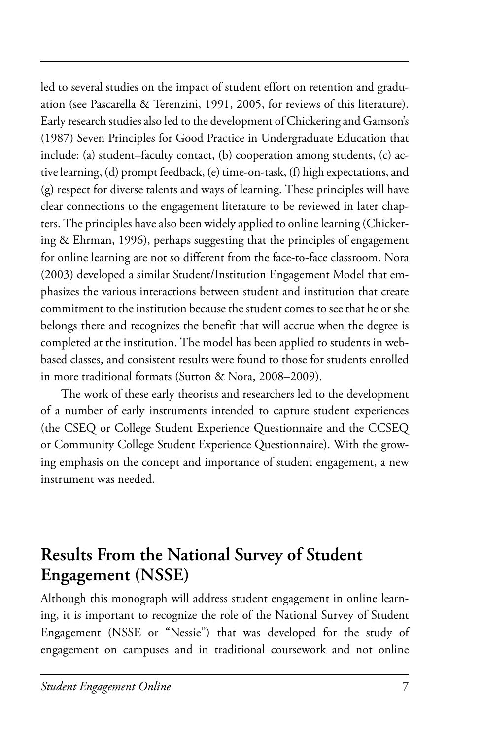led to several studies on the impact of student effort on retention and graduation (see Pascarella & Terenzini, 1991, 2005, for reviews of this literature). Early research studies also led to the development of Chickering and Gamson's (1987) Seven Principles for Good Practice in Undergraduate Education that include: (a) student–faculty contact, (b) cooperation among students, (c) active learning, (d) prompt feedback, (e) time-on-task, (f) high expectations, and (g) respect for diverse talents and ways of learning. These principles will have clear connections to the engagement literature to be reviewed in later chapters. The principles have also been widely applied to online learning (Chickering & Ehrman, 1996), perhaps suggesting that the principles of engagement for online learning are not so different from the face-to-face classroom. Nora (2003) developed a similar Student/Institution Engagement Model that emphasizes the various interactions between student and institution that create commitment to the institution because the student comes to see that he or she belongs there and recognizes the benefit that will accrue when the degree is completed at the institution. The model has been applied to students in webbased classes, and consistent results were found to those for students enrolled in more traditional formats (Sutton & Nora, 2008–2009).

The work of these early theorists and researchers led to the development of a number of early instruments intended to capture student experiences (the CSEQ or College Student Experience Questionnaire and the CCSEQ or Community College Student Experience Questionnaire). With the growing emphasis on the concept and importance of student engagement, a new instrument was needed.

# **Results From the National Survey of Student Engagement (NSSE)**

Although this monograph will address student engagement in online learning, it is important to recognize the role of the National Survey of Student Engagement (NSSE or "Nessie") that was developed for the study of engagement on campuses and in traditional coursework and not online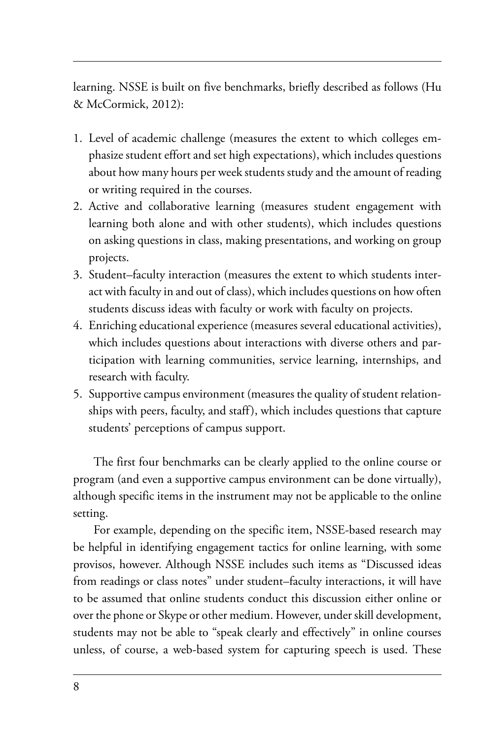learning. NSSE is built on five benchmarks, briefly described as follows (Hu & McCormick, 2012):

- 1. Level of academic challenge (measures the extent to which colleges emphasize student effort and set high expectations), which includes questions about how many hours per week students study and the amount of reading or writing required in the courses.
- 2. Active and collaborative learning (measures student engagement with learning both alone and with other students), which includes questions on asking questions in class, making presentations, and working on group projects.
- 3. Student–faculty interaction (measures the extent to which students interact with faculty in and out of class), which includes questions on how often students discuss ideas with faculty or work with faculty on projects.
- 4. Enriching educational experience (measures several educational activities), which includes questions about interactions with diverse others and participation with learning communities, service learning, internships, and research with faculty.
- 5. Supportive campus environment (measures the quality of student relationships with peers, faculty, and staff), which includes questions that capture students' perceptions of campus support.

The first four benchmarks can be clearly applied to the online course or program (and even a supportive campus environment can be done virtually), although specific items in the instrument may not be applicable to the online setting.

For example, depending on the specific item, NSSE-based research may be helpful in identifying engagement tactics for online learning, with some provisos, however. Although NSSE includes such items as "Discussed ideas from readings or class notes" under student–faculty interactions, it will have to be assumed that online students conduct this discussion either online or over the phone or Skype or other medium. However, under skill development, students may not be able to "speak clearly and effectively" in online courses unless, of course, a web-based system for capturing speech is used. These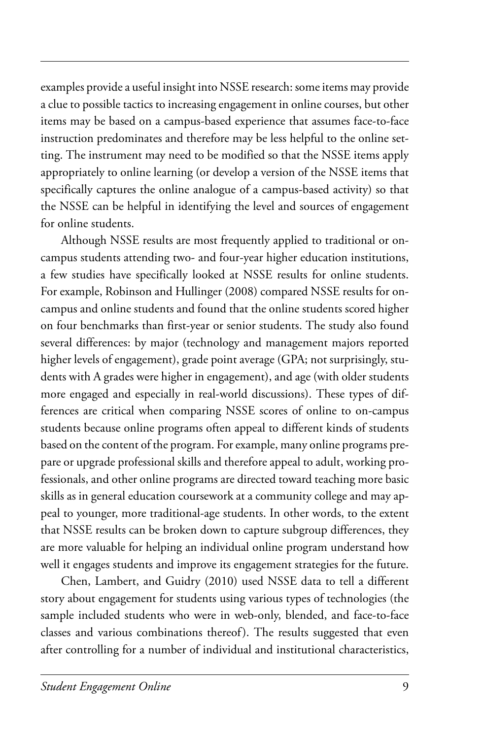examples provide a useful insight into NSSE research: some items may provide a clue to possible tactics to increasing engagement in online courses, but other items may be based on a campus-based experience that assumes face-to-face instruction predominates and therefore may be less helpful to the online setting. The instrument may need to be modified so that the NSSE items apply appropriately to online learning (or develop a version of the NSSE items that specifically captures the online analogue of a campus-based activity) so that the NSSE can be helpful in identifying the level and sources of engagement for online students.

Although NSSE results are most frequently applied to traditional or oncampus students attending two- and four-year higher education institutions, a few studies have specifically looked at NSSE results for online students. For example, Robinson and Hullinger (2008) compared NSSE results for oncampus and online students and found that the online students scored higher on four benchmarks than first-year or senior students. The study also found several differences: by major (technology and management majors reported higher levels of engagement), grade point average (GPA; not surprisingly, students with A grades were higher in engagement), and age (with older students more engaged and especially in real-world discussions). These types of differences are critical when comparing NSSE scores of online to on-campus students because online programs often appeal to different kinds of students based on the content of the program. For example, many online programs prepare or upgrade professional skills and therefore appeal to adult, working professionals, and other online programs are directed toward teaching more basic skills as in general education coursework at a community college and may appeal to younger, more traditional-age students. In other words, to the extent that NSSE results can be broken down to capture subgroup differences, they are more valuable for helping an individual online program understand how well it engages students and improve its engagement strategies for the future.

Chen, Lambert, and Guidry (2010) used NSSE data to tell a different story about engagement for students using various types of technologies (the sample included students who were in web-only, blended, and face-to-face classes and various combinations thereof). The results suggested that even after controlling for a number of individual and institutional characteristics,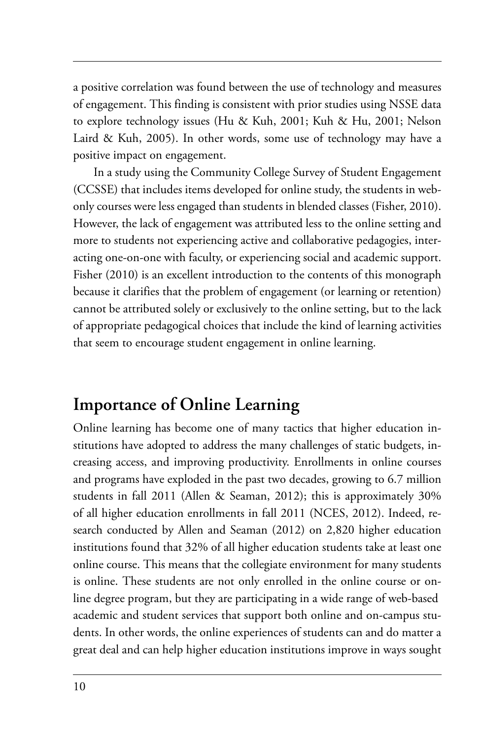a positive correlation was found between the use of technology and measures of engagement. This finding is consistent with prior studies using NSSE data to explore technology issues (Hu & Kuh, 2001; Kuh & Hu, 2001; Nelson Laird & Kuh, 2005). In other words, some use of technology may have a positive impact on engagement.

In a study using the Community College Survey of Student Engagement (CCSSE) that includes items developed for online study, the students in webonly courses were less engaged than students in blended classes (Fisher, 2010). However, the lack of engagement was attributed less to the online setting and more to students not experiencing active and collaborative pedagogies, interacting one-on-one with faculty, or experiencing social and academic support. Fisher (2010) is an excellent introduction to the contents of this monograph because it clarifies that the problem of engagement (or learning or retention) cannot be attributed solely or exclusively to the online setting, but to the lack of appropriate pedagogical choices that include the kind of learning activities that seem to encourage student engagement in online learning.

### **Importance of Online Learning**

Online learning has become one of many tactics that higher education institutions have adopted to address the many challenges of static budgets, increasing access, and improving productivity. Enrollments in online courses and programs have exploded in the past two decades, growing to 6.7 million students in fall 2011 (Allen & Seaman, 2012); this is approximately 30% of all higher education enrollments in fall 2011 (NCES, 2012). Indeed, research conducted by Allen and Seaman (2012) on 2,820 higher education institutions found that 32% of all higher education students take at least one online course. This means that the collegiate environment for many students is online. These students are not only enrolled in the online course or online degree program, but they are participating in a wide range of web-based academic and student services that support both online and on-campus students. In other words, the online experiences of students can and do matter a great deal and can help higher education institutions improve in ways sought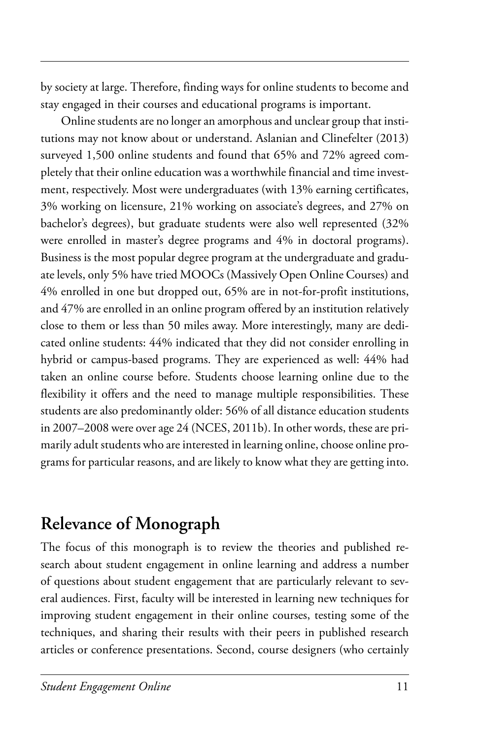by society at large. Therefore, finding ways for online students to become and stay engaged in their courses and educational programs is important.

Online students are no longer an amorphous and unclear group that institutions may not know about or understand. Aslanian and Clinefelter (2013) surveyed 1,500 online students and found that 65% and 72% agreed completely that their online education was a worthwhile financial and time investment, respectively. Most were undergraduates (with 13% earning certificates, 3% working on licensure, 21% working on associate's degrees, and 27% on bachelor's degrees), but graduate students were also well represented (32% were enrolled in master's degree programs and 4% in doctoral programs). Business is the most popular degree program at the undergraduate and graduate levels, only 5% have tried MOOCs (Massively Open Online Courses) and 4% enrolled in one but dropped out, 65% are in not-for-profit institutions, and 47% are enrolled in an online program offered by an institution relatively close to them or less than 50 miles away. More interestingly, many are dedicated online students: 44% indicated that they did not consider enrolling in hybrid or campus-based programs. They are experienced as well: 44% had taken an online course before. Students choose learning online due to the flexibility it offers and the need to manage multiple responsibilities. These students are also predominantly older: 56% of all distance education students in 2007–2008 were over age 24 (NCES, 2011b). In other words, these are primarily adult students who are interested in learning online, choose online programs for particular reasons, and are likely to know what they are getting into.

## **Relevance of Monograph**

The focus of this monograph is to review the theories and published research about student engagement in online learning and address a number of questions about student engagement that are particularly relevant to several audiences. First, faculty will be interested in learning new techniques for improving student engagement in their online courses, testing some of the techniques, and sharing their results with their peers in published research articles or conference presentations. Second, course designers (who certainly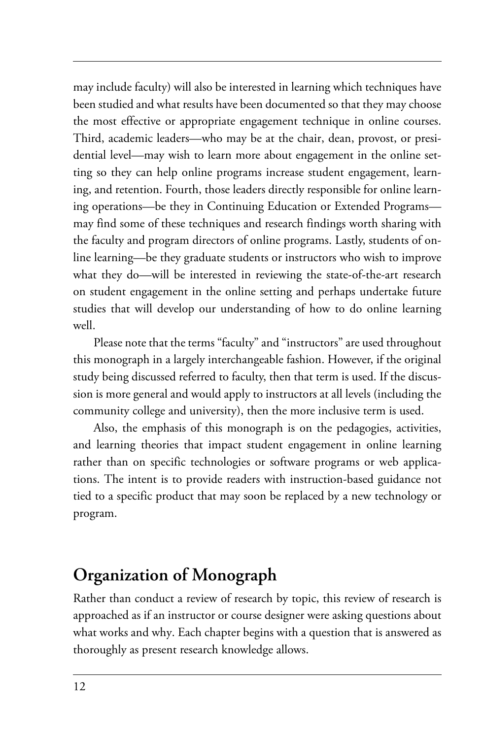may include faculty) will also be interested in learning which techniques have been studied and what results have been documented so that they may choose the most effective or appropriate engagement technique in online courses. Third, academic leaders—who may be at the chair, dean, provost, or presidential level—may wish to learn more about engagement in the online setting so they can help online programs increase student engagement, learning, and retention. Fourth, those leaders directly responsible for online learning operations—be they in Continuing Education or Extended Programs may find some of these techniques and research findings worth sharing with the faculty and program directors of online programs. Lastly, students of online learning—be they graduate students or instructors who wish to improve what they do—will be interested in reviewing the state-of-the-art research on student engagement in the online setting and perhaps undertake future studies that will develop our understanding of how to do online learning well.

Please note that the terms "faculty" and "instructors" are used throughout this monograph in a largely interchangeable fashion. However, if the original study being discussed referred to faculty, then that term is used. If the discussion is more general and would apply to instructors at all levels (including the community college and university), then the more inclusive term is used.

Also, the emphasis of this monograph is on the pedagogies, activities, and learning theories that impact student engagement in online learning rather than on specific technologies or software programs or web applications. The intent is to provide readers with instruction-based guidance not tied to a specific product that may soon be replaced by a new technology or program.

### **Organization of Monograph**

Rather than conduct a review of research by topic, this review of research is approached as if an instructor or course designer were asking questions about what works and why. Each chapter begins with a question that is answered as thoroughly as present research knowledge allows.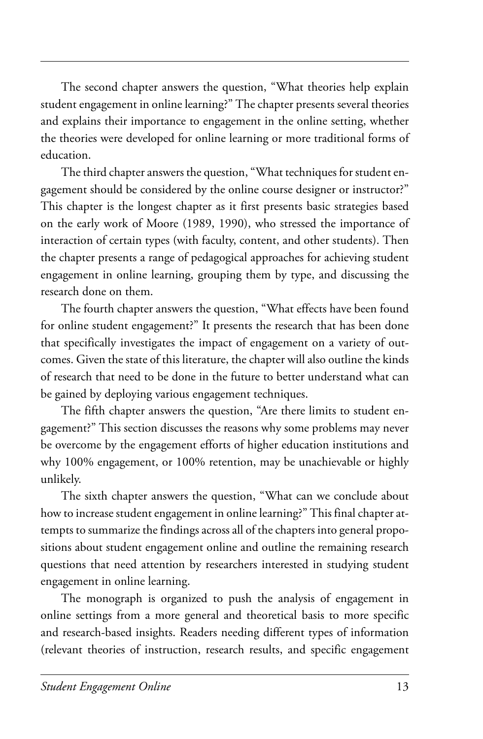The second chapter answers the question, "What theories help explain student engagement in online learning?" The chapter presents several theories and explains their importance to engagement in the online setting, whether the theories were developed for online learning or more traditional forms of education.

The third chapter answers the question, "What techniques for student engagement should be considered by the online course designer or instructor?" This chapter is the longest chapter as it first presents basic strategies based on the early work of Moore (1989, 1990), who stressed the importance of interaction of certain types (with faculty, content, and other students). Then the chapter presents a range of pedagogical approaches for achieving student engagement in online learning, grouping them by type, and discussing the research done on them.

The fourth chapter answers the question, "What effects have been found for online student engagement?" It presents the research that has been done that specifically investigates the impact of engagement on a variety of outcomes. Given the state of this literature, the chapter will also outline the kinds of research that need to be done in the future to better understand what can be gained by deploying various engagement techniques.

The fifth chapter answers the question, "Are there limits to student engagement?" This section discusses the reasons why some problems may never be overcome by the engagement efforts of higher education institutions and why 100% engagement, or 100% retention, may be unachievable or highly unlikely.

The sixth chapter answers the question, "What can we conclude about how to increase student engagement in online learning?" This final chapter attempts to summarize the findings across all of the chapters into general propositions about student engagement online and outline the remaining research questions that need attention by researchers interested in studying student engagement in online learning.

The monograph is organized to push the analysis of engagement in online settings from a more general and theoretical basis to more specific and research-based insights. Readers needing different types of information (relevant theories of instruction, research results, and specific engagement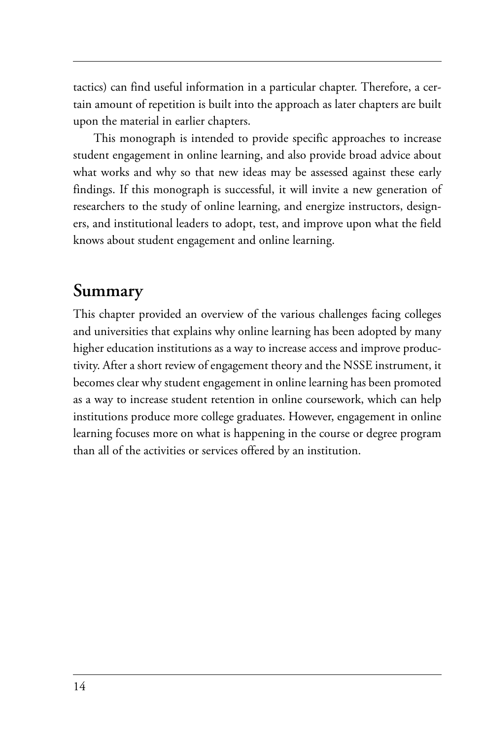tactics) can find useful information in a particular chapter. Therefore, a certain amount of repetition is built into the approach as later chapters are built upon the material in earlier chapters.

This monograph is intended to provide specific approaches to increase student engagement in online learning, and also provide broad advice about what works and why so that new ideas may be assessed against these early findings. If this monograph is successful, it will invite a new generation of researchers to the study of online learning, and energize instructors, designers, and institutional leaders to adopt, test, and improve upon what the field knows about student engagement and online learning.

#### **Summary**

This chapter provided an overview of the various challenges facing colleges and universities that explains why online learning has been adopted by many higher education institutions as a way to increase access and improve productivity. After a short review of engagement theory and the NSSE instrument, it becomes clear why student engagement in online learning has been promoted as a way to increase student retention in online coursework, which can help institutions produce more college graduates. However, engagement in online learning focuses more on what is happening in the course or degree program than all of the activities or services offered by an institution.